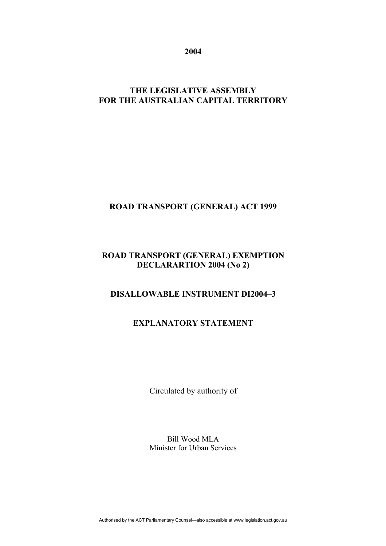**2004** 

# **THE LEGISLATIVE ASSEMBLY FOR THE AUSTRALIAN CAPITAL TERRITORY**

# **ROAD TRANSPORT (GENERAL) ACT 1999**

# **ROAD TRANSPORT (GENERAL) EXEMPTION DECLARARTION 2004 (No 2)**

# **DISALLOWABLE INSTRUMENT DI2004–3**

# **EXPLANATORY STATEMENT**

Circulated by authority of

Bill Wood MLA Minister for Urban Services